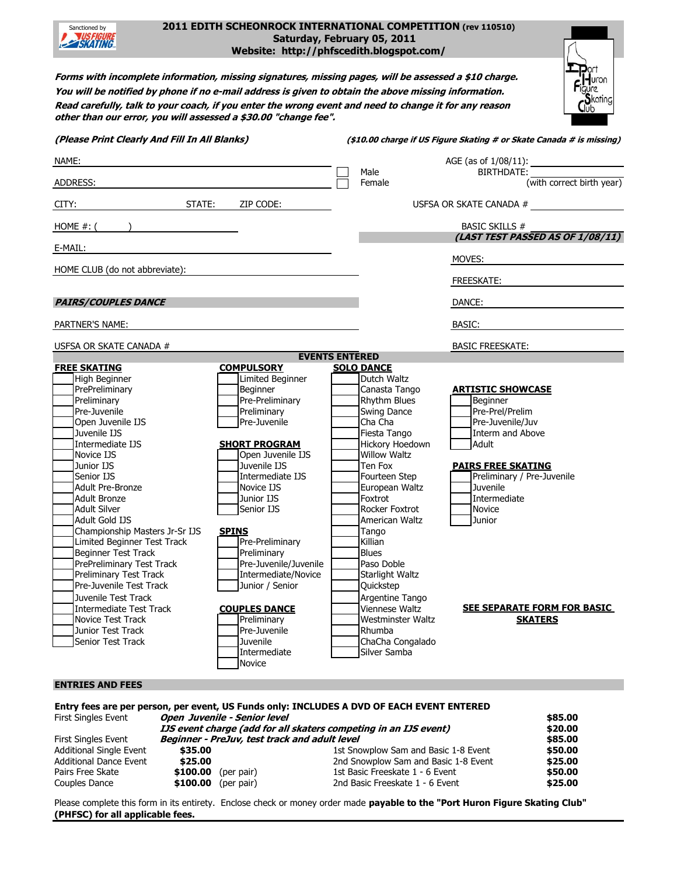| 2011 EDITH SCHEONROCK INTERNATIONAL COMPETITION (rev 110510)<br>Sanctioned by<br>SKATING<br>Saturday, February 05, 2011<br>Website: http://phfscedith.blogspot.com/                                                                                                                                                                                                                                                                   |                                  |                                            |                                                                      |  |  |  |  |
|---------------------------------------------------------------------------------------------------------------------------------------------------------------------------------------------------------------------------------------------------------------------------------------------------------------------------------------------------------------------------------------------------------------------------------------|----------------------------------|--------------------------------------------|----------------------------------------------------------------------|--|--|--|--|
| <b>Thou</b><br>Forms with incomplete information, missing signatures, missing pages, will be assessed a \$10 charge.<br>Figure<br>Skating<br>Club<br>You will be notified by phone if no e-mail address is given to obtain the above missing information.<br>Read carefully, talk to your coach, if you enter the wrong event and need to change it for any reason<br>other than our error, you will assessed a \$30.00 "change fee". |                                  |                                            |                                                                      |  |  |  |  |
| (Please Print Clearly And Fill In All Blanks)                                                                                                                                                                                                                                                                                                                                                                                         |                                  |                                            | (\$10.00 charge if US Figure Skating # or Skate Canada # is missing) |  |  |  |  |
| NAME:                                                                                                                                                                                                                                                                                                                                                                                                                                 |                                  |                                            | AGE (as of 1/08/11):                                                 |  |  |  |  |
|                                                                                                                                                                                                                                                                                                                                                                                                                                       |                                  | Male                                       | BIRTHDATE:                                                           |  |  |  |  |
| ADDRESS:                                                                                                                                                                                                                                                                                                                                                                                                                              |                                  | Female                                     | (with correct birth year)                                            |  |  |  |  |
| STATE:<br>CITY:<br>ZIP CODE:                                                                                                                                                                                                                                                                                                                                                                                                          |                                  |                                            | USFSA OR SKATE CANADA #                                              |  |  |  |  |
| HOME $#$ : (                                                                                                                                                                                                                                                                                                                                                                                                                          |                                  |                                            | <b>BASIC SKILLS #</b>                                                |  |  |  |  |
| E-MAIL:                                                                                                                                                                                                                                                                                                                                                                                                                               |                                  |                                            | (LAST TEST PASSED AS OF 1/08/11)                                     |  |  |  |  |
|                                                                                                                                                                                                                                                                                                                                                                                                                                       |                                  |                                            | MOVES:                                                               |  |  |  |  |
| HOME CLUB (do not abbreviate):                                                                                                                                                                                                                                                                                                                                                                                                        |                                  |                                            | FREESKATE:                                                           |  |  |  |  |
|                                                                                                                                                                                                                                                                                                                                                                                                                                       |                                  |                                            |                                                                      |  |  |  |  |
| <b>PAIRS/COUPLES DANCE</b>                                                                                                                                                                                                                                                                                                                                                                                                            |                                  |                                            | DANCE:                                                               |  |  |  |  |
| PARTNER'S NAME:                                                                                                                                                                                                                                                                                                                                                                                                                       |                                  |                                            | BASIC:                                                               |  |  |  |  |
| USFSA OR SKATE CANADA #                                                                                                                                                                                                                                                                                                                                                                                                               |                                  |                                            | <b>BASIC FREESKATE:</b>                                              |  |  |  |  |
| <b>FREE SKATING</b>                                                                                                                                                                                                                                                                                                                                                                                                                   | <b>COMPULSORY</b>                | <b>EVENTS ENTERED</b><br><b>SOLO DANCE</b> |                                                                      |  |  |  |  |
| High Beginner                                                                                                                                                                                                                                                                                                                                                                                                                         | Limited Beginner                 | Dutch Waltz                                |                                                                      |  |  |  |  |
| PrePreliminary                                                                                                                                                                                                                                                                                                                                                                                                                        | Beginner                         | Canasta Tango                              | <b>ARTISTIC SHOWCASE</b>                                             |  |  |  |  |
| Preliminary                                                                                                                                                                                                                                                                                                                                                                                                                           | Pre-Preliminary                  | Rhythm Blues                               | Beginner                                                             |  |  |  |  |
| Pre-Juvenile                                                                                                                                                                                                                                                                                                                                                                                                                          | Preliminary                      | Swing Dance                                | Pre-Prel/Prelim                                                      |  |  |  |  |
| Open Juvenile IJS                                                                                                                                                                                                                                                                                                                                                                                                                     | Pre-Juvenile                     | Cha Cha                                    | Pre-Juvenile/Juv                                                     |  |  |  |  |
| Juvenile IJS                                                                                                                                                                                                                                                                                                                                                                                                                          |                                  | Fiesta Tango                               | <b>Interm and Above</b>                                              |  |  |  |  |
| Intermediate IJS                                                                                                                                                                                                                                                                                                                                                                                                                      | <b>SHORT PROGRAM</b>             | Hickory Hoedown                            | Adult                                                                |  |  |  |  |
| Novice IJS                                                                                                                                                                                                                                                                                                                                                                                                                            | Open Juvenile IJS                | <b>Willow Waltz</b>                        |                                                                      |  |  |  |  |
| Junior IJS<br>Senior IJS                                                                                                                                                                                                                                                                                                                                                                                                              | Juvenile IJS<br>Intermediate IJS | Ten Fox<br>Fourteen Step                   | <b>PAIRS FREE SKATING</b><br>Preliminary / Pre-Juvenile              |  |  |  |  |
| <b>Adult Pre-Bronze</b>                                                                                                                                                                                                                                                                                                                                                                                                               | Novice IJS                       | European Waltz                             | Juvenile                                                             |  |  |  |  |
| <b>Adult Bronze</b>                                                                                                                                                                                                                                                                                                                                                                                                                   | Junior IJS                       | Foxtrot                                    | Intermediate                                                         |  |  |  |  |
| <b>Adult Silver</b>                                                                                                                                                                                                                                                                                                                                                                                                                   | Senior IJS                       | Rocker Foxtrot                             | <b>Novice</b>                                                        |  |  |  |  |
| Adult Gold IJS                                                                                                                                                                                                                                                                                                                                                                                                                        |                                  | American Waltz                             | Junior                                                               |  |  |  |  |
| Championship Masters Jr-Sr IJS                                                                                                                                                                                                                                                                                                                                                                                                        | <b>SPINS</b>                     | Tango                                      |                                                                      |  |  |  |  |
| Limited Beginner Test Track                                                                                                                                                                                                                                                                                                                                                                                                           | Pre-Preliminary                  | Killian                                    |                                                                      |  |  |  |  |
| Beginner Test Track                                                                                                                                                                                                                                                                                                                                                                                                                   | Preliminary                      | <b>Blues</b>                               |                                                                      |  |  |  |  |
| PrePreliminary Test Track                                                                                                                                                                                                                                                                                                                                                                                                             | Pre-Juvenile/Juvenile            | Paso Doble                                 |                                                                      |  |  |  |  |
| Preliminary Test Track                                                                                                                                                                                                                                                                                                                                                                                                                | Intermediate/Novice              | Starlight Waltz                            |                                                                      |  |  |  |  |
| Pre-Juvenile Test Track                                                                                                                                                                                                                                                                                                                                                                                                               | Junior / Senior                  | Quickstep                                  |                                                                      |  |  |  |  |
| Juvenile Test Track                                                                                                                                                                                                                                                                                                                                                                                                                   |                                  | Argentine Tango                            |                                                                      |  |  |  |  |
| Intermediate Test Track                                                                                                                                                                                                                                                                                                                                                                                                               | <b>COUPLES DANCE</b>             | Viennese Waltz                             | <b>SEE SEPARATE FORM FOR BASIC</b>                                   |  |  |  |  |
| Novice Test Track                                                                                                                                                                                                                                                                                                                                                                                                                     | Preliminary                      | <b>Westminster Waltz</b>                   | <b>SKATERS</b>                                                       |  |  |  |  |
| Junior Test Track                                                                                                                                                                                                                                                                                                                                                                                                                     | Pre-Juvenile                     | Rhumba                                     |                                                                      |  |  |  |  |
| <b>Senior Test Track</b>                                                                                                                                                                                                                                                                                                                                                                                                              | Juvenile<br>Intermediate         | ChaCha Congalado<br>Silver Samba           |                                                                      |  |  |  |  |
|                                                                                                                                                                                                                                                                                                                                                                                                                                       | Novice                           |                                            |                                                                      |  |  |  |  |
|                                                                                                                                                                                                                                                                                                                                                                                                                                       |                                  |                                            |                                                                      |  |  |  |  |
| <b>ENTRIES AND FEES</b>                                                                                                                                                                                                                                                                                                                                                                                                               |                                  |                                            |                                                                      |  |  |  |  |

**Entry fees are per person, per event, US Funds only: INCLUDES A DVD OF EACH EVENT ENTERED**  First Singles Event **Open Juvenile - Senior level \$85.00 IJS event charge (add for all skaters competing in an IJS event) \$20.00** First Singles Event **Beginner - PreJuv, test track and adult level**<br>Additional Single Event **\$35.00**<br>1st Sno Additional Single Event **\$35.00** 1st Snowplow Sam and Basic 1-8 Event **\$50.00** Additional Dance Event **\$25.00**<br>Pairs Free Skate **\$100.00** (per pair) 1st Basic Freeskate 1 - 6 Event **\$50.00**<br>**\$50.00** \$50.00 **\$100.00** (per pair) 1st Basic Freeskate 1 - 6 Event **\$100.00** (per pair) 2nd Basic Freeskate 1 - 6 Event Couples Dance **\$100.00** (per pair) 2nd Basic Freeskate 1 - 6 Event **\$25.00**

Please complete this form in its entirety. Enclose check or money order made **payable to the "Port Huron Figure Skating Club" (PHFSC) for all applicable fees.**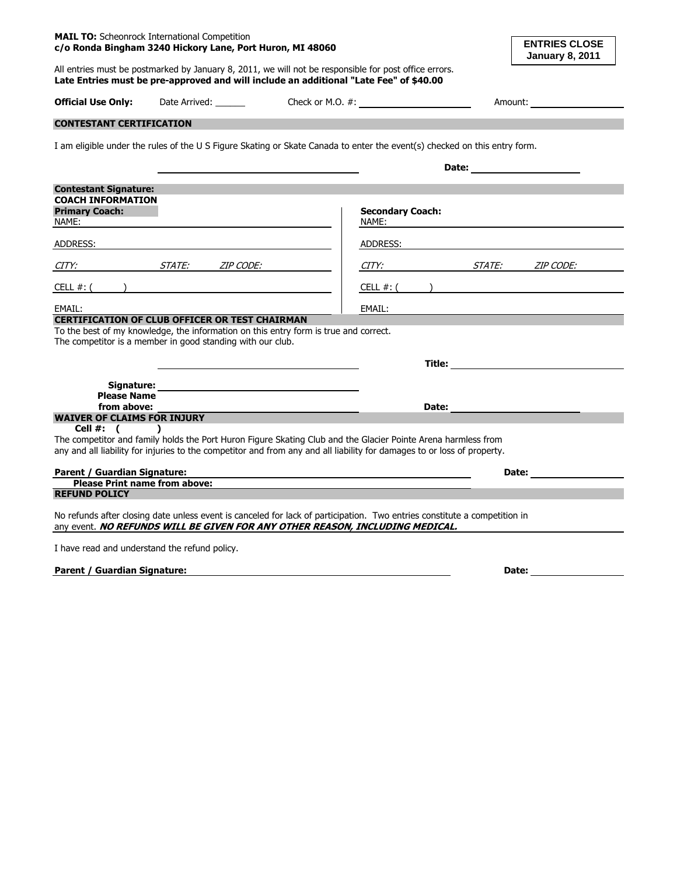| c/o Ronda Bingham 3240 Hickory Lane, Port Huron, MI 48060                                                                                                                                                                      |                              |  |                                                                                                                |                                                                                                                                                                                                                                     | <b>ENTRIES CLOSE</b><br><b>January 8, 2011</b> |  |
|--------------------------------------------------------------------------------------------------------------------------------------------------------------------------------------------------------------------------------|------------------------------|--|----------------------------------------------------------------------------------------------------------------|-------------------------------------------------------------------------------------------------------------------------------------------------------------------------------------------------------------------------------------|------------------------------------------------|--|
| All entries must be postmarked by January 8, 2011, we will not be responsible for post office errors.<br>Late Entries must be pre-approved and will include an additional "Late Fee" of \$40.00                                |                              |  |                                                                                                                |                                                                                                                                                                                                                                     |                                                |  |
| <b>Official Use Only:</b>                                                                                                                                                                                                      | Date Arrived: _______        |  | Check or M.O. $\#$ :                                                                                           |                                                                                                                                                                                                                                     | Amount:                                        |  |
| <b>CONTESTANT CERTIFICATION</b>                                                                                                                                                                                                |                              |  |                                                                                                                |                                                                                                                                                                                                                                     |                                                |  |
| I am eligible under the rules of the U S Figure Skating or Skate Canada to enter the event(s) checked on this entry form.                                                                                                      |                              |  |                                                                                                                |                                                                                                                                                                                                                                     |                                                |  |
|                                                                                                                                                                                                                                |                              |  |                                                                                                                |                                                                                                                                                                                                                                     |                                                |  |
| <b>Contestant Signature:</b>                                                                                                                                                                                                   |                              |  |                                                                                                                |                                                                                                                                                                                                                                     |                                                |  |
| <b>COACH INFORMATION</b>                                                                                                                                                                                                       |                              |  |                                                                                                                |                                                                                                                                                                                                                                     |                                                |  |
| <b>Primary Coach:</b><br>NAME:                                                                                                                                                                                                 |                              |  | <b>Secondary Coach:</b><br>NAME:                                                                               |                                                                                                                                                                                                                                     |                                                |  |
| ADDRESS: AND THE CONTROL OF THE CONTROL OF THE CONTROL OF THE CONTROL OF THE CONTROL OF THE CONTROL OF THE CONTROL OF THE CONTROL OF THE CONTROL OF THE CONTROL OF THE CONTROL OF THE CONTROL OF THE CONTROL OF THE CONTROL OF |                              |  | ADDRESS: AND THE STATE OF THE STATE OF THE STATE OF THE STATE OF THE STATE OF THE STATE OF THE STATE OF THE ST |                                                                                                                                                                                                                                     |                                                |  |
| CITY:                                                                                                                                                                                                                          | STATE: ZIP CODE:             |  | CITY:                                                                                                          |                                                                                                                                                                                                                                     | STATE: ZIP CODE:                               |  |
| CELL #: (                                                                                                                                                                                                                      |                              |  | CELL #: (                                                                                                      |                                                                                                                                                                                                                                     |                                                |  |
| EMAIL:                                                                                                                                                                                                                         |                              |  | EMAIL:                                                                                                         |                                                                                                                                                                                                                                     |                                                |  |
| <b>CERTIFICATION OF CLUB OFFICER OR TEST CHAIRMAN</b>                                                                                                                                                                          |                              |  |                                                                                                                |                                                                                                                                                                                                                                     |                                                |  |
| To the best of my knowledge, the information on this entry form is true and correct.<br>The competitor is a member in good standing with our club.                                                                             |                              |  |                                                                                                                |                                                                                                                                                                                                                                     |                                                |  |
|                                                                                                                                                                                                                                |                              |  |                                                                                                                | <b>Title:</b> Title: The Second Second Second Second Second Second Second Second Second Second Second Second Second Second Second Second Second Second Second Second Second Second Second Second Second Second Second Second Second |                                                |  |
|                                                                                                                                                                                                                                | <b>Signature:</b> Signature: |  |                                                                                                                |                                                                                                                                                                                                                                     |                                                |  |
| <b>Please Name</b>                                                                                                                                                                                                             |                              |  |                                                                                                                |                                                                                                                                                                                                                                     |                                                |  |
| from above:                                                                                                                                                                                                                    |                              |  |                                                                                                                | Date:                                                                                                                                                                                                                               |                                                |  |
| <b>WAIVER OF CLAIMS FOR INJURY</b>                                                                                                                                                                                             |                              |  |                                                                                                                |                                                                                                                                                                                                                                     |                                                |  |
| Cell $#:$ $($                                                                                                                                                                                                                  |                              |  |                                                                                                                |                                                                                                                                                                                                                                     |                                                |  |
| The competitor and family holds the Port Huron Figure Skating Club and the Glacier Pointe Arena harmless from                                                                                                                  |                              |  |                                                                                                                |                                                                                                                                                                                                                                     |                                                |  |
| any and all liability for injuries to the competitor and from any and all liability for damages to or loss of property.                                                                                                        |                              |  |                                                                                                                |                                                                                                                                                                                                                                     |                                                |  |
| Parent / Guardian Signature:                                                                                                                                                                                                   |                              |  |                                                                                                                |                                                                                                                                                                                                                                     | Date: ___________                              |  |
| <b>Please Print name from above:</b>                                                                                                                                                                                           |                              |  |                                                                                                                |                                                                                                                                                                                                                                     |                                                |  |
| <b>REFUND POLICY</b>                                                                                                                                                                                                           |                              |  |                                                                                                                |                                                                                                                                                                                                                                     |                                                |  |
|                                                                                                                                                                                                                                |                              |  |                                                                                                                |                                                                                                                                                                                                                                     |                                                |  |
| No refunds after closing date unless event is canceled for lack of participation. Two entries constitute a competition in<br>any event. NO REFUNDS WILL BE GIVEN FOR ANY OTHER REASON, INCLUDING MEDICAL.                      |                              |  |                                                                                                                |                                                                                                                                                                                                                                     |                                                |  |
| I have read and understand the refund policy.                                                                                                                                                                                  |                              |  |                                                                                                                |                                                                                                                                                                                                                                     |                                                |  |

**Parent / Guardian Signature: Date: Date: Date: Date: Date: Date: Date: Date: Date: Date: Date: Date: Date: Date: Date: Date: Date: Date: Date: Date: Date: Date: Date: Date:** 

**MAIL TO:** Scheonrock International Competition

**ENTRIES CLOSE**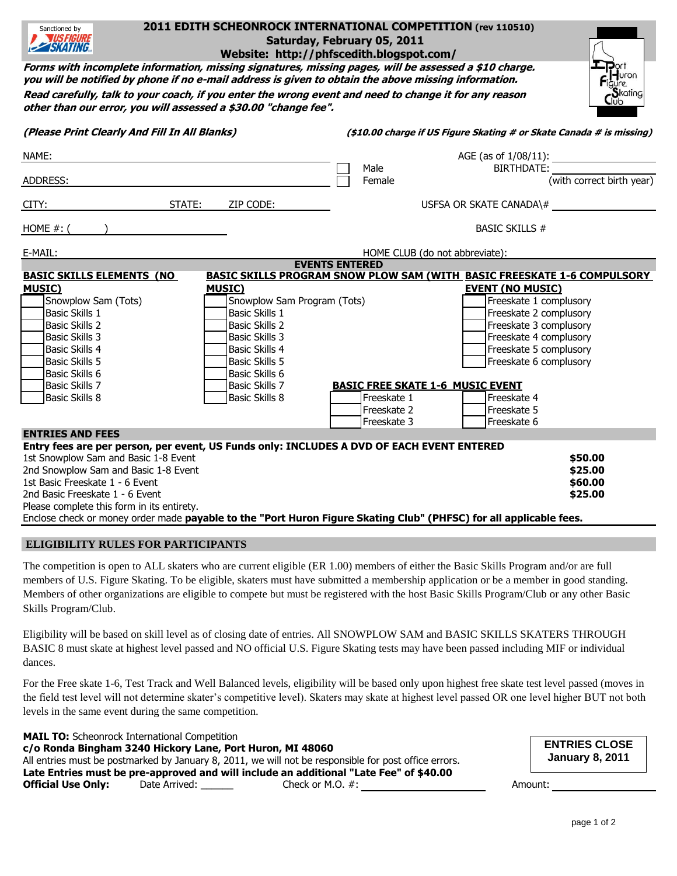| 2011 EDITH SCHEONROCK INTERNATIONAL COMPETITION (rev 110510)<br>Sanctioned by<br><b>WSFIGURE</b><br>Saturday, February 05, 2011<br><b>EZ SKATING</b><br>Website: http://phfscedith.blogspot.com/                                                                                                                                                        |  |  |  |  |  |  |
|---------------------------------------------------------------------------------------------------------------------------------------------------------------------------------------------------------------------------------------------------------------------------------------------------------------------------------------------------------|--|--|--|--|--|--|
| Forms with incomplete information, missing signatures, missing pages, will be assessed a \$10 charge.<br>Port<br>Figure<br>Skating<br>Club<br>you will be notified by phone if no e-mail address is given to obtain the above missing information.                                                                                                      |  |  |  |  |  |  |
| Read carefully, talk to your coach, if you enter the wrong event and need to change it for any reason<br>other than our error, you will assessed a \$30.00 "change fee".                                                                                                                                                                                |  |  |  |  |  |  |
| (\$10.00 charge if US Figure Skating # or Skate Canada # is missing)                                                                                                                                                                                                                                                                                    |  |  |  |  |  |  |
| AGE (as of 1/08/11):                                                                                                                                                                                                                                                                                                                                    |  |  |  |  |  |  |
| Male<br><b>BIRTHDATE:</b><br>(with correct birth year)<br>Female                                                                                                                                                                                                                                                                                        |  |  |  |  |  |  |
| USFSA OR SKATE CANADA\#                                                                                                                                                                                                                                                                                                                                 |  |  |  |  |  |  |
| <b>BASIC SKILLS #</b>                                                                                                                                                                                                                                                                                                                                   |  |  |  |  |  |  |
| HOME CLUB (do not abbreviate):                                                                                                                                                                                                                                                                                                                          |  |  |  |  |  |  |
| <b>EVENTS ENTERED</b><br><b>BASIC SKILLS PROGRAM SNOW PLOW SAM (WITH_BASIC FREESKATE 1-6 COMPULSORY_</b>                                                                                                                                                                                                                                                |  |  |  |  |  |  |
| <b>EVENT (NO MUSIC)</b><br>Snowplow Sam Program (Tots)<br>Freeskate 1 complusory<br>Freeskate 2 complusory<br>Freeskate 3 complusory<br>Freeskate 4 complusory<br>Freeskate 5 complusory<br>Freeskate 6 complusory<br><b>BASIC FREE SKATE 1-6 MUSIC EVENT</b><br>Freeskate 4<br>Freeskate 1<br>Freeskate 2<br>Freeskate 5<br>Freeskate 3<br>Freeskate 6 |  |  |  |  |  |  |
| Entry fees are per person, per event, US Funds only: INCLUDES A DVD OF EACH EVENT ENTERED                                                                                                                                                                                                                                                               |  |  |  |  |  |  |
| \$50.00<br>\$25.00<br>\$60.00<br>\$25.00<br>Enclose check or money order made payable to the "Port Huron Figure Skating Club" (PHFSC) for all applicable fees.                                                                                                                                                                                          |  |  |  |  |  |  |
|                                                                                                                                                                                                                                                                                                                                                         |  |  |  |  |  |  |

## **ELIGIBILITY RULES FOR PARTICIPANTS**

The competition is open to ALL skaters who are current eligible (ER 1.00) members of either the Basic Skills Program and/or are full members of U.S. Figure Skating. To be eligible, skaters must have submitted a membership application or be a member in good standing. Members of other organizations are eligible to compete but must be registered with the host Basic Skills Program/Club or any other Basic Skills Program/Club.

Eligibility will be based on skill level as of closing date of entries. All SNOWPLOW SAM and BASIC SKILLS SKATERS THROUGH BASIC 8 must skate at highest level passed and NO official U.S. Figure Skating tests may have been passed including MIF or individual dances.

For the Free skate 1-6, Test Track and Well Balanced levels, eligibility will be based only upon highest free skate test level passed (moves in the field test level will not determine skater's competitive level). Skaters may skate at highest level passed OR one level higher BUT not both levels in the same event during the same competition.

**MAIL TO:** Scheonrock International Competition **c/o Ronda Bingham 3240 Hickory Lane, Port Huron, MI 48060** All entries must be postmarked by January 8, 2011, we will not be responsible for post office errors. **Late Entries must be pre-approved and will include an additional "Late Fee" of \$40.00 Official Use Only:** Date Arrived: Check or M.O. #: Amount: Amount:

**ENTRIES CLOSE January 8, 2011**